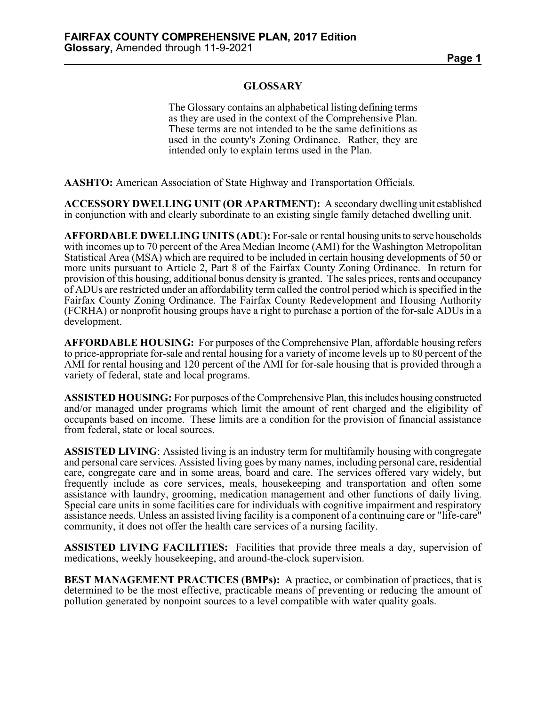## **GLOSSARY**

The Glossary contains an alphabetical listing defining terms as they are used in the context of the Comprehensive Plan. These terms are not intended to be the same definitions as used in the county's Zoning Ordinance. Rather, they are intended only to explain terms used in the Plan.

**AASHTO:** American Association of State Highway and Transportation Officials.

**ACCESSORY DWELLING UNIT (OR APARTMENT):** A secondary dwelling unit established in conjunction with and clearly subordinate to an existing single family detached dwelling unit.

**AFFORDABLE DWELLING UNITS (ADU):** For-sale or rental housing units to serve households with incomes up to 70 percent of the Area Median Income (AMI) for the Washington Metropolitan Statistical Area (MSA) which are required to be included in certain housing developments of 50 or more units pursuant to Article 2, Part 8 of the Fairfax County Zoning Ordinance. In return for provision of this housing, additional bonus density is granted. The sales prices, rents and occupancy of ADUs are restricted under an affordability term called the control period which is specified in the Fairfax County Zoning Ordinance. The Fairfax County Redevelopment and Housing Authority (FCRHA) or nonprofit housing groups have a right to purchase a portion of the for-sale ADUs in a development.

**AFFORDABLE HOUSING:** For purposes of the Comprehensive Plan, affordable housing refers to price-appropriate for-sale and rental housing for a variety of income levels up to 80 percent of the AMI for rental housing and 120 percent of the AMI for for-sale housing that is provided through a variety of federal, state and local programs.

**ASSISTED HOUSING:** For purposes of the Comprehensive Plan, this includes housing constructed and/or managed under programs which limit the amount of rent charged and the eligibility of occupants based on income. These limits are a condition for the provision of financial assistance from federal, state or local sources.

**ASSISTED LIVING**: Assisted living is an industry term for multifamily housing with congregate and personal care services. Assisted living goes by many names, including personal care, residential care, congregate care and in some areas, board and care. The services offered vary widely, but frequently include as core services, meals, housekeeping and transportation and often some assistance with laundry, grooming, medication management and other functions of daily living. Special care units in some facilities care for individuals with cognitive impairment and respiratory assistance needs. Unless an assisted living facility is a component of a continuing care or "life-care" community, it does not offer the health care services of a nursing facility.

**ASSISTED LIVING FACILITIES:** Facilities that provide three meals a day, supervision of medications, weekly housekeeping, and around-the-clock supervision.

**BEST MANAGEMENT PRACTICES (BMPs):** A practice, or combination of practices, that is determined to be the most effective, practicable means of preventing or reducing the amount of pollution generated by nonpoint sources to a level compatible with water quality goals.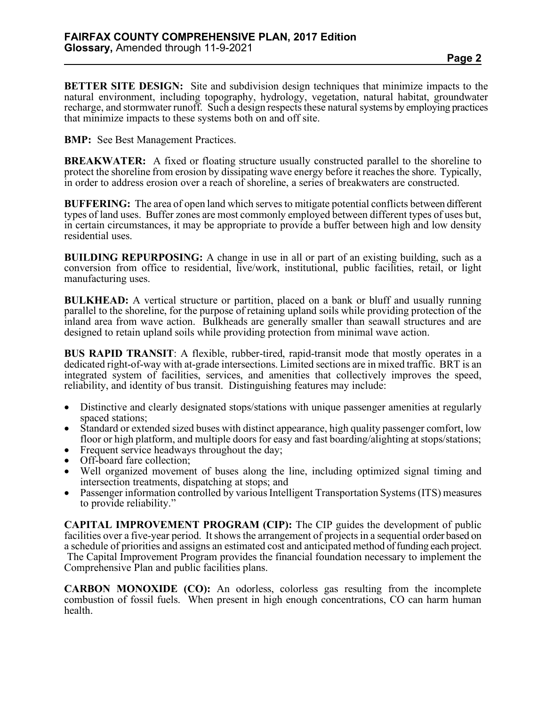**BETTER SITE DESIGN:** Site and subdivision design techniques that minimize impacts to the natural environment, including topography, hydrology, vegetation, natural habitat, groundwater recharge, and stormwater runoff. Such a design respects these natural systems by employing practices that minimize impacts to these systems both on and off site.

**BMP:** See Best Management Practices.

**BREAKWATER:** A fixed or floating structure usually constructed parallel to the shoreline to protect the shoreline from erosion by dissipating wave energy before it reaches the shore. Typically, in order to address erosion over a reach of shoreline, a series of breakwaters are constructed.

**BUFFERING:** The area of open land which serves to mitigate potential conflicts between different types of land uses. Buffer zones are most commonly employed between different types of uses but, in certain circumstances, it may be appropriate to provide a buffer between high and low density residential uses.

**BUILDING REPURPOSING:** A change in use in all or part of an existing building, such as a conversion from office to residential, live/work, institutional, public facilities, retail, or light manufacturing uses.

**BULKHEAD:** A vertical structure or partition, placed on a bank or bluff and usually running parallel to the shoreline, for the purpose of retaining upland soils while providing protection of the inland area from wave action. Bulkheads are generally smaller than seawall structures and are designed to retain upland soils while providing protection from minimal wave action.

**BUS RAPID TRANSIT**: A flexible, rubber-tired, rapid-transit mode that mostly operates in a dedicated right-of-way with at-grade intersections. Limited sections are in mixed traffic. BRT is an integrated system of facilities, services, and amenities that collectively improves the speed, reliability, and identity of bus transit. Distinguishing features may include:

- Distinctive and clearly designated stops/stations with unique passenger amenities at regularly spaced stations;
- Standard or extended sized buses with distinct appearance, high quality passenger comfort, low floor or high platform, and multiple doors for easy and fast boarding/alighting at stops/stations;
- Frequent service headways throughout the day;
- Off-board fare collection;
- Well organized movement of buses along the line, including optimized signal timing and intersection treatments, dispatching at stops; and
- Passenger information controlled by various Intelligent Transportation Systems (ITS) measures to provide reliability."

**CAPITAL IMPROVEMENT PROGRAM (CIP):** The CIP guides the development of public facilities over a five-year period. It shows the arrangement of projects in a sequential order based on a schedule of priorities and assigns an estimated cost and anticipated method of funding each project. The Capital Improvement Program provides the financial foundation necessary to implement the Comprehensive Plan and public facilities plans.

**CARBON MONOXIDE (CO):** An odorless, colorless gas resulting from the incomplete combustion of fossil fuels. When present in high enough concentrations, CO can harm human health.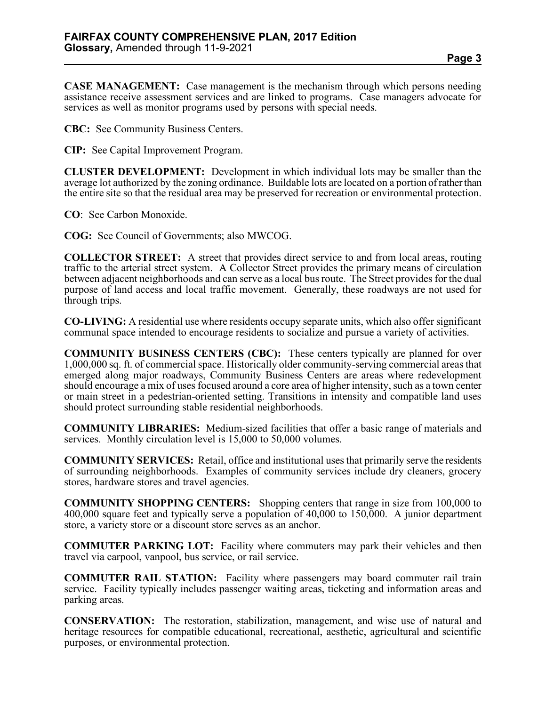**CASE MANAGEMENT:** Case management is the mechanism through which persons needing assistance receive assessment services and are linked to programs. Case managers advocate for services as well as monitor programs used by persons with special needs.

**CBC:** See Community Business Centers.

**CIP:** See Capital Improvement Program.

**CLUSTER DEVELOPMENT:** Development in which individual lots may be smaller than the average lot authorized by the zoning ordinance. Buildable lots are located on a portion of rather than the entire site so that the residual area may be preserved for recreation or environmental protection.

**CO**: See Carbon Monoxide.

**COG:** See Council of Governments; also MWCOG.

**COLLECTOR STREET:** A street that provides direct service to and from local areas, routing traffic to the arterial street system. A Collector Street provides the primary means of circulation between adjacent neighborhoods and can serve as a local bus route. The Street provides for the dual purpose of land access and local traffic movement. Generally, these roadways are not used for through trips.

**CO-LIVING:** A residential use where residents occupy separate units, which also offer significant communal space intended to encourage residents to socialize and pursue a variety of activities.

**COMMUNITY BUSINESS CENTERS (CBC):** These centers typically are planned for over 1,000,000 sq. ft. of commercial space. Historically older community-serving commercial areas that emerged along major roadways, Community Business Centers are areas where redevelopment should encourage a mix of uses focused around a core area of higher intensity, such as a town center or main street in a pedestrian-oriented setting. Transitions in intensity and compatible land uses should protect surrounding stable residential neighborhoods.

**COMMUNITY LIBRARIES:** Medium-sized facilities that offer a basic range of materials and services. Monthly circulation level is 15,000 to 50,000 volumes.

**COMMUNITY SERVICES:** Retail, office and institutional uses that primarily serve the residents of surrounding neighborhoods. Examples of community services include dry cleaners, grocery stores, hardware stores and travel agencies.

**COMMUNITY SHOPPING CENTERS:** Shopping centers that range in size from 100,000 to 400,000 square feet and typically serve a population of 40,000 to 150,000. A junior department store, a variety store or a discount store serves as an anchor.

**COMMUTER PARKING LOT:** Facility where commuters may park their vehicles and then travel via carpool, vanpool, bus service, or rail service.

**COMMUTER RAIL STATION:** Facility where passengers may board commuter rail train service. Facility typically includes passenger waiting areas, ticketing and information areas and parking areas.

**CONSERVATION:** The restoration, stabilization, management, and wise use of natural and heritage resources for compatible educational, recreational, aesthetic, agricultural and scientific purposes, or environmental protection.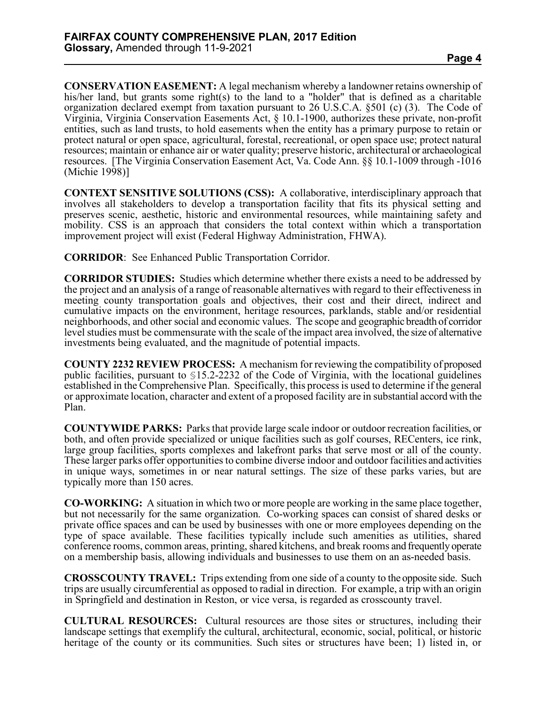**CONSERVATION EASEMENT:** A legal mechanism whereby a landowner retains ownership of his/her land, but grants some right(s) to the land to a "holder" that is defined as a charitable organization declared exempt from taxation pursuant to 26 U.S.C.A. §501 (c) (3). The Code of Virginia, Virginia Conservation Easements Act, § 10.1-1900, authorizes these private, non-profit entities, such as land trusts, to hold easements when the entity has a primary purpose to retain or protect natural or open space, agricultural, forestal, recreational, or open space use; protect natural resources; maintain or enhance air or water quality; preserve historic, architectural or archaeological resources. [The Virginia Conservation Easement Act, Va. Code Ann. §§ 10.1-1009 through -1016 (Michie 1998)]

**CONTEXT SENSITIVE SOLUTIONS (CSS):** A collaborative, interdisciplinary approach that involves all stakeholders to develop a transportation facility that fits its physical setting and preserves scenic, aesthetic, historic and environmental resources, while maintaining safety and mobility. CSS is an approach that considers the total context within which a transportation improvement project will exist (Federal Highway Administration, FHWA).

**CORRIDOR**: See Enhanced Public Transportation Corridor.

**CORRIDOR STUDIES:** Studies which determine whether there exists a need to be addressed by the project and an analysis of a range of reasonable alternatives with regard to their effectiveness in meeting county transportation goals and objectives, their cost and their direct, indirect and cumulative impacts on the environment, heritage resources, parklands, stable and/or residential neighborhoods, and other social and economic values. The scope and geographic breadth of corridor level studies must be commensurate with the scale of the impact area involved, the size of alternative investments being evaluated, and the magnitude of potential impacts.

**COUNTY 2232 REVIEW PROCESS:** A mechanism for reviewing the compatibility of proposed public facilities, pursuant to §15.2-2232 of the Code of Virginia, with the locational guidelines established in the Comprehensive Plan. Specifically, this process is used to determine if the general or approximate location, character and extent of a proposed facility are in substantial accord with the Plan.

**COUNTYWIDE PARKS:** Parks that provide large scale indoor or outdoor recreation facilities, or both, and often provide specialized or unique facilities such as golf courses, RECenters, ice rink, large group facilities, sports complexes and lakefront parks that serve most or all of the county. These larger parks offer opportunities to combine diverse indoor and outdoor facilities and activities in unique ways, sometimes in or near natural settings. The size of these parks varies, but are typically more than 150 acres.

**CO-WORKING:** A situation in which two or more people are working in the same place together, but not necessarily for the same organization. Co-working spaces can consist of shared desks or private office spaces and can be used by businesses with one or more employees depending on the type of space available. These facilities typically include such amenities as utilities, shared conference rooms, common areas, printing, shared kitchens, and break rooms and frequently operate on a membership basis, allowing individuals and businesses to use them on an as-needed basis.

**CROSSCOUNTY TRAVEL:** Trips extending from one side of a county to the opposite side. Such trips are usually circumferential as opposed to radial in direction. For example, a trip with an origin in Springfield and destination in Reston, or vice versa, is regarded as crosscounty travel.

**CULTURAL RESOURCES:** Cultural resources are those sites or structures, including their landscape settings that exemplify the cultural, architectural, economic, social, political, or historic heritage of the county or its communities. Such sites or structures have been; 1) listed in, or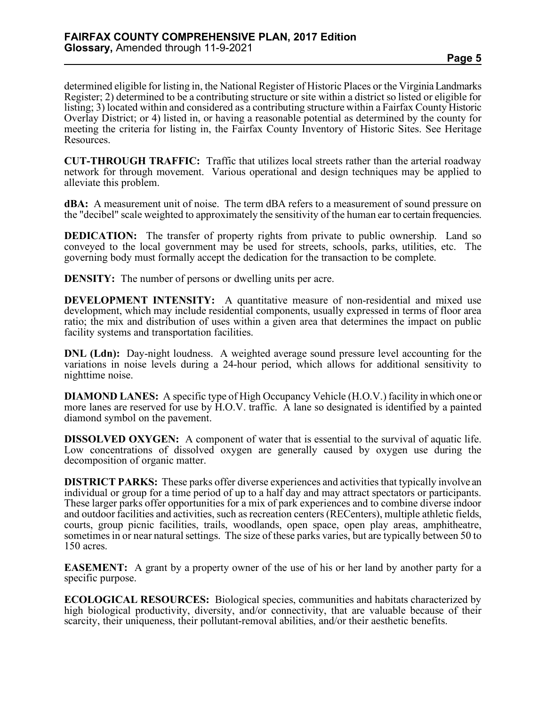determined eligible for listing in, the National Register of Historic Places or the Virginia Landmarks Register; 2) determined to be a contributing structure or site within a district so listed or eligible for listing; 3) located within and considered as a contributing structure within a Fairfax County Historic Overlay District; or 4) listed in, or having a reasonable potential as determined by the county for meeting the criteria for listing in, the Fairfax County Inventory of Historic Sites. See Heritage Resources.

**CUT-THROUGH TRAFFIC:** Traffic that utilizes local streets rather than the arterial roadway network for through movement. Various operational and design techniques may be applied to alleviate this problem.

**dBA:** A measurement unit of noise. The term dBA refers to a measurement of sound pressure on the "decibel" scale weighted to approximately the sensitivity of the human ear to certain frequencies.

**DEDICATION:** The transfer of property rights from private to public ownership. Land so conveyed to the local government may be used for streets, schools, parks, utilities, etc. The governing body must formally accept the dedication for the transaction to be complete.

**DENSITY:** The number of persons or dwelling units per acre.

**DEVELOPMENT INTENSITY:** A quantitative measure of non-residential and mixed use development, which may include residential components, usually expressed in terms of floor area ratio; the mix and distribution of uses within a given area that determines the impact on public facility systems and transportation facilities.

**DNL (Ldn):** Day-night loudness. A weighted average sound pressure level accounting for the variations in noise levels during a 24-hour period, which allows for additional sensitivity to nighttime noise.

**DIAMOND LANES:** A specific type of High Occupancy Vehicle (H.O.V.) facility in which one or more lanes are reserved for use by H.O.V. traffic. A lane so designated is identified by a painted diamond symbol on the pavement.

**DISSOLVED OXYGEN:** A component of water that is essential to the survival of aquatic life. Low concentrations of dissolved oxygen are generally caused by oxygen use during the decomposition of organic matter.

**DISTRICT PARKS:** These parks offer diverse experiences and activities that typically involve an individual or group for a time period of up to a half day and may attract spectators or participants. These larger parks offer opportunities for a mix of park experiences and to combine diverse indoor and outdoor facilities and activities, such as recreation centers (RECenters), multiple athletic fields, courts, group picnic facilities, trails, woodlands, open space, open play areas, amphitheatre, sometimes in or near natural settings. The size of these parks varies, but are typically between 50 to 150 acres.

**EASEMENT:** A grant by a property owner of the use of his or her land by another party for a specific purpose.

**ECOLOGICAL RESOURCES:** Biological species, communities and habitats characterized by high biological productivity, diversity, and/or connectivity, that are valuable because of their scarcity, their uniqueness, their pollutant-removal abilities, and/or their aesthetic benefits.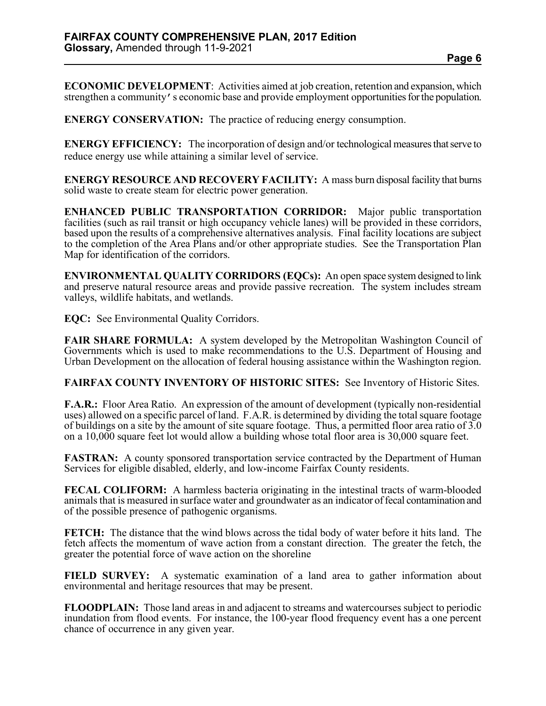**ECONOMIC DEVELOPMENT**: Activities aimed at job creation, retention and expansion, which strengthen a community's economic base and provide employment opportunities for the population.

**ENERGY CONSERVATION:** The practice of reducing energy consumption.

**ENERGY EFFICIENCY:** The incorporation of design and/or technological measures that serve to reduce energy use while attaining a similar level of service.

**ENERGY RESOURCE AND RECOVERY FACILITY:** A mass burn disposal facility that burns solid waste to create steam for electric power generation.

**ENHANCED PUBLIC TRANSPORTATION CORRIDOR:** Major public transportation facilities (such as rail transit or high occupancy vehicle lanes) will be provided in these corridors, based upon the results of a comprehensive alternatives analysis. Final facility locations are subject to the completion of the Area Plans and/or other appropriate studies. See the Transportation Plan Map for identification of the corridors.

**ENVIRONMENTAL QUALITY CORRIDORS (EQCs):** An open space system designed to link and preserve natural resource areas and provide passive recreation. The system includes stream valleys, wildlife habitats, and wetlands.

**EQC:** See Environmental Quality Corridors.

**FAIR SHARE FORMULA:** A system developed by the Metropolitan Washington Council of Governments which is used to make recommendations to the U.S. Department of Housing and Urban Development on the allocation of federal housing assistance within the Washington region.

**FAIRFAX COUNTY INVENTORY OF HISTORIC SITES:** See Inventory of Historic Sites.

**F.A.R.:** Floor Area Ratio. An expression of the amount of development (typically non-residential uses) allowed on a specific parcel of land. F.A.R. is determined by dividing the total square footage of buildings on a site by the amount of site square footage. Thus, a permitted floor area ratio of 3.0 on a 10,000 square feet lot would allow a building whose total floor area is 30,000 square feet.

**FASTRAN:** A county sponsored transportation service contracted by the Department of Human Services for eligible disabled, elderly, and low-income Fairfax County residents.

**FECAL COLIFORM:** A harmless bacteria originating in the intestinal tracts of warm-blooded animals that is measured in surface water and groundwater as an indicator of fecal contamination and of the possible presence of pathogenic organisms.

**FETCH:** The distance that the wind blows across the tidal body of water before it hits land. The fetch affects the momentum of wave action from a constant direction. The greater the fetch, the greater the potential force of wave action on the shoreline

**FIELD SURVEY:** A systematic examination of a land area to gather information about environmental and heritage resources that may be present.

**FLOODPLAIN:** Those land areas in and adjacent to streams and watercourses subject to periodic inundation from flood events. For instance, the 100-year flood frequency event has a one percent chance of occurrence in any given year.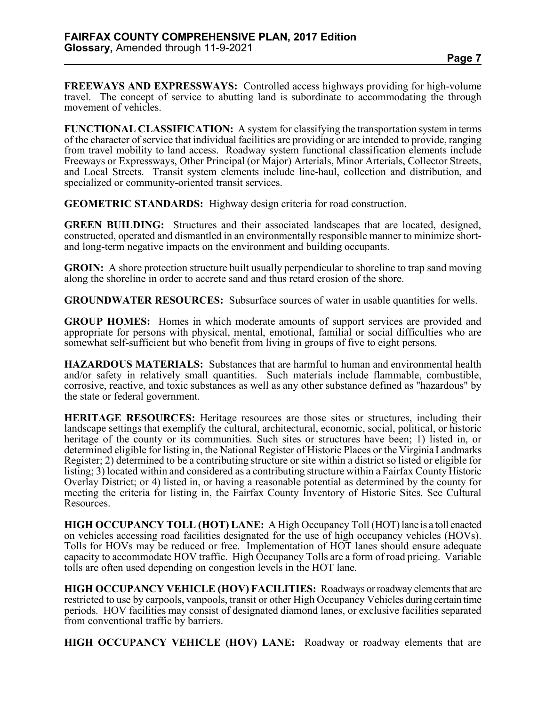**FREEWAYS AND EXPRESSWAYS:** Controlled access highways providing for high-volume travel. The concept of service to abutting land is subordinate to accommodating the through movement of vehicles.

**FUNCTIONAL CLASSIFICATION:** A system for classifying the transportation system in terms of the character of service that individual facilities are providing or are intended to provide, ranging from travel mobility to land access. Roadway system functional classification elements include Freeways or Expressways, Other Principal (or Major) Arterials, Minor Arterials, Collector Streets, and Local Streets. Transit system elements include line-haul, collection and distribution, and specialized or community-oriented transit services.

**GEOMETRIC STANDARDS:** Highway design criteria for road construction.

**GREEN BUILDING:** Structures and their associated landscapes that are located, designed, constructed, operated and dismantled in an environmentally responsible manner to minimize shortand long-term negative impacts on the environment and building occupants.

**GROIN:** A shore protection structure built usually perpendicular to shoreline to trap sand moving along the shoreline in order to accrete sand and thus retard erosion of the shore.

**GROUNDWATER RESOURCES:** Subsurface sources of water in usable quantities for wells.

**GROUP HOMES:** Homes in which moderate amounts of support services are provided and appropriate for persons with physical, mental, emotional, familial or social difficulties who are somewhat self-sufficient but who benefit from living in groups of five to eight persons.

**HAZARDOUS MATERIALS:** Substances that are harmful to human and environmental health and/or safety in relatively small quantities. Such materials include flammable, combustible, corrosive, reactive, and toxic substances as well as any other substance defined as "hazardous" by the state or federal government.

**HERITAGE RESOURCES:** Heritage resources are those sites or structures, including their landscape settings that exemplify the cultural, architectural, economic, social, political, or historic heritage of the county or its communities. Such sites or structures have been; 1) listed in, or determined eligible for listing in, the National Register of Historic Places or the Virginia Landmarks Register; 2) determined to be a contributing structure or site within a district so listed or eligible for listing; 3) located within and considered as a contributing structure within a Fairfax County Historic Overlay District; or 4) listed in, or having a reasonable potential as determined by the county for meeting the criteria for listing in, the Fairfax County Inventory of Historic Sites. See Cultural Resources.

**HIGH OCCUPANCY TOLL (HOT) LANE:** A High Occupancy Toll (HOT) lane is a toll enacted on vehicles accessing road facilities designated for the use of high occupancy vehicles (HOVs). Tolls for HOVs may be reduced or free. Implementation of HOT lanes should ensure adequate capacity to accommodate HOV traffic. High Occupancy Tolls are a form of road pricing. Variable tolls are often used depending on congestion levels in the HOT lane.

**HIGH OCCUPANCY VEHICLE (HOV) FACILITIES:** Roadways or roadway elements that are restricted to use by carpools, vanpools, transit or other High Occupancy Vehicles during certain time periods. HOV facilities may consist of designated diamond lanes, or exclusive facilities separated from conventional traffic by barriers.

**HIGH OCCUPANCY VEHICLE (HOV) LANE:** Roadway or roadway elements that are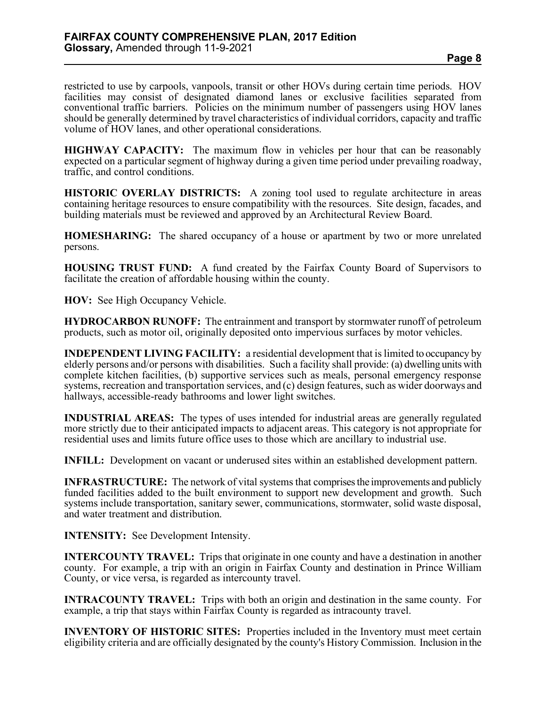restricted to use by carpools, vanpools, transit or other HOVs during certain time periods. HOV facilities may consist of designated diamond lanes or exclusive facilities separated from conventional traffic barriers. Policies on the minimum number of passengers using HOV lanes should be generally determined by travel characteristics of individual corridors, capacity and traffic volume of HOV lanes, and other operational considerations.

**HIGHWAY CAPACITY:** The maximum flow in vehicles per hour that can be reasonably expected on a particular segment of highway during a given time period under prevailing roadway, traffic, and control conditions.

**HISTORIC OVERLAY DISTRICTS:** A zoning tool used to regulate architecture in areas containing heritage resources to ensure compatibility with the resources. Site design, facades, and building materials must be reviewed and approved by an Architectural Review Board.

**HOMESHARING:** The shared occupancy of a house or apartment by two or more unrelated persons.

**HOUSING TRUST FUND:** A fund created by the Fairfax County Board of Supervisors to facilitate the creation of affordable housing within the county.

**HOV:** See High Occupancy Vehicle.

**HYDROCARBON RUNOFF:** The entrainment and transport by stormwater runoff of petroleum products, such as motor oil, originally deposited onto impervious surfaces by motor vehicles.

**INDEPENDENT LIVING FACILITY:** a residential development that is limited to occupancy by elderly persons and/or persons with disabilities. Such a facility shall provide: (a) dwelling units with complete kitchen facilities, (b) supportive services such as meals, personal emergency response systems, recreation and transportation services, and (c) design features, such as wider doorways and hallways, accessible-ready bathrooms and lower light switches.

**INDUSTRIAL AREAS:** The types of uses intended for industrial areas are generally regulated more strictly due to their anticipated impacts to adjacent areas. This category is not appropriate for residential uses and limits future office uses to those which are ancillary to industrial use.

**INFILL:** Development on vacant or underused sites within an established development pattern.

**INFRASTRUCTURE:** The network of vital systems that comprises the improvements and publicly funded facilities added to the built environment to support new development and growth. Such systems include transportation, sanitary sewer, communications, stormwater, solid waste disposal, and water treatment and distribution.

**INTENSITY:** See Development Intensity.

**INTERCOUNTY TRAVEL:** Trips that originate in one county and have a destination in another county. For example, a trip with an origin in Fairfax County and destination in Prince William County, or vice versa, is regarded as intercounty travel.

**INTRACOUNTY TRAVEL:** Trips with both an origin and destination in the same county. For example, a trip that stays within Fairfax County is regarded as intracounty travel.

**INVENTORY OF HISTORIC SITES:** Properties included in the Inventory must meet certain eligibility criteria and are officially designated by the county's History Commission. Inclusion in the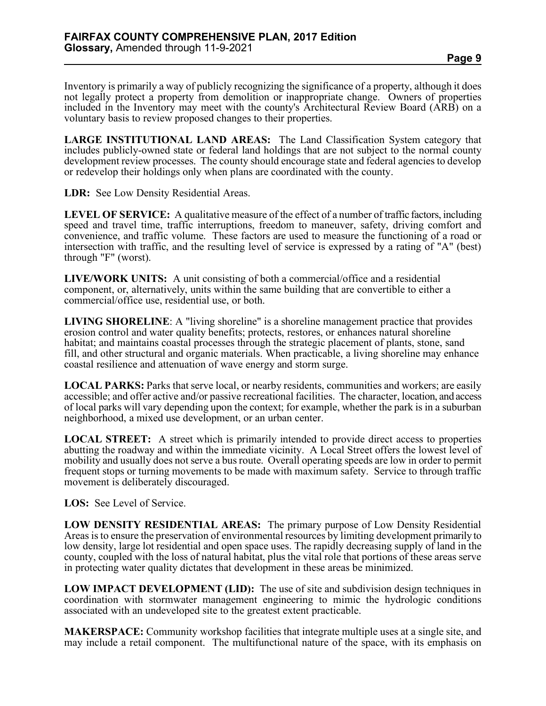Inventory is primarily a way of publicly recognizing the significance of a property, although it does not legally protect a property from demolition or inappropriate change. Owners of properties included in the Inventory may meet with the county's Architectural Review Board (ARB) on a voluntary basis to review proposed changes to their properties.

**LARGE INSTITUTIONAL LAND AREAS:** The Land Classification System category that includes publicly-owned state or federal land holdings that are not subject to the normal county development review processes. The county should encourage state and federal agencies to develop or redevelop their holdings only when plans are coordinated with the county.

**LDR:** See Low Density Residential Areas.

**LEVEL OF SERVICE:** A qualitative measure of the effect of a number of traffic factors, including speed and travel time, traffic interruptions, freedom to maneuver, safety, driving comfort and convenience, and traffic volume. These factors are used to measure the functioning of a road or intersection with traffic, and the resulting level of service is expressed by a rating of "A" (best) through "F" (worst).

**LIVE/WORK UNITS:** A unit consisting of both a commercial/office and a residential component, or, alternatively, units within the same building that are convertible to either a commercial/office use, residential use, or both.

**LIVING SHORELINE**: A "living shoreline" is a shoreline management practice that provides erosion control and water quality benefits; protects, restores, or enhances natural shoreline habitat; and maintains coastal processes through the strategic placement of plants, stone, sand fill, and other structural and organic materials. When practicable, a living shoreline may enhance coastal resilience and attenuation of wave energy and storm surge.

**LOCAL PARKS:** Parks that serve local, or nearby residents, communities and workers; are easily accessible; and offer active and/or passive recreational facilities. The character, location, and access of local parks will vary depending upon the context; for example, whether the park is in a suburban neighborhood, a mixed use development, or an urban center.

**LOCAL STREET:** A street which is primarily intended to provide direct access to properties abutting the roadway and within the immediate vicinity. A Local Street offers the lowest level of mobility and usually does not serve a bus route. Overall operating speeds are low in order to permit frequent stops or turning movements to be made with maximum safety. Service to through traffic movement is deliberately discouraged.

**LOS:** See Level of Service.

**LOW DENSITY RESIDENTIAL AREAS:** The primary purpose of Low Density Residential Areas is to ensure the preservation of environmental resources by limiting development primarily to low density, large lot residential and open space uses. The rapidly decreasing supply of land in the county, coupled with the loss of natural habitat, plus the vital role that portions of these areas serve in protecting water quality dictates that development in these areas be minimized.

**LOW IMPACT DEVELOPMENT (LID):** The use of site and subdivision design techniques in coordination with stormwater management engineering to mimic the hydrologic conditions associated with an undeveloped site to the greatest extent practicable.

**MAKERSPACE:** Community workshop facilities that integrate multiple uses at a single site, and may include a retail component. The multifunctional nature of the space, with its emphasis on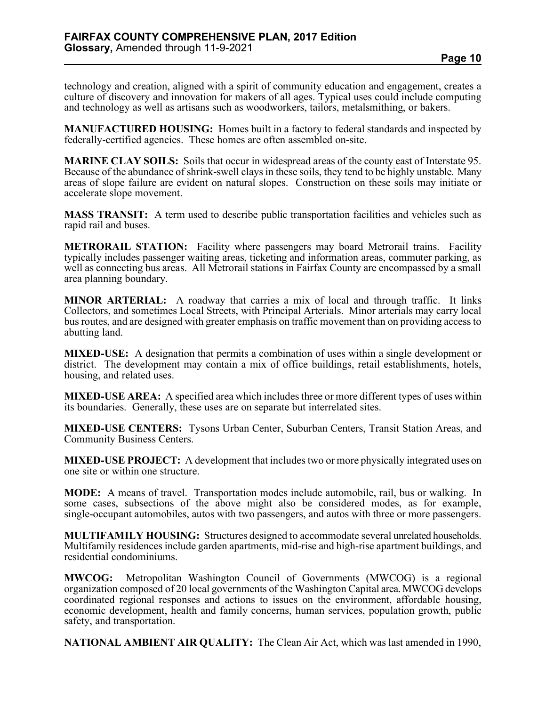technology and creation, aligned with a spirit of community education and engagement, creates a culture of discovery and innovation for makers of all ages. Typical uses could include computing and technology as well as artisans such as woodworkers, tailors, metalsmithing, or bakers.

**MANUFACTURED HOUSING:** Homes built in a factory to federal standards and inspected by federally-certified agencies. These homes are often assembled on-site.

**MARINE CLAY SOILS:** Soils that occur in widespread areas of the county east of Interstate 95. Because of the abundance of shrink-swell clays in these soils, they tend to be highly unstable. Many areas of slope failure are evident on natural slopes. Construction on these soils may initiate or accelerate slope movement.

**MASS TRANSIT:** A term used to describe public transportation facilities and vehicles such as rapid rail and buses.

**METRORAIL STATION:** Facility where passengers may board Metrorail trains. Facility typically includes passenger waiting areas, ticketing and information areas, commuter parking, as well as connecting bus areas. All Metrorail stations in Fairfax County are encompassed by a small area planning boundary.

**MINOR ARTERIAL:** A roadway that carries a mix of local and through traffic. It links Collectors, and sometimes Local Streets, with Principal Arterials. Minor arterials may carry local bus routes, and are designed with greater emphasis on traffic movement than on providing access to abutting land.

**MIXED-USE:** A designation that permits a combination of uses within a single development or district. The development may contain a mix of office buildings, retail establishments, hotels, housing, and related uses.

**MIXED-USE AREA:** A specified area which includes three or more different types of uses within its boundaries. Generally, these uses are on separate but interrelated sites.

**MIXED-USE CENTERS:** Tysons Urban Center, Suburban Centers, Transit Station Areas, and Community Business Centers.

**MIXED-USE PROJECT:** A development that includes two or more physically integrated uses on one site or within one structure.

**MODE:** A means of travel. Transportation modes include automobile, rail, bus or walking. In some cases, subsections of the above might also be considered modes, as for example, single-occupant automobiles, autos with two passengers, and autos with three or more passengers.

**MULTIFAMILY HOUSING:** Structures designed to accommodate several unrelated households. Multifamily residences include garden apartments, mid-rise and high-rise apartment buildings, and residential condominiums.

**MWCOG:** Metropolitan Washington Council of Governments (MWCOG) is a regional organization composed of 20 local governments of the Washington Capital area. MWCOG develops coordinated regional responses and actions to issues on the environment, affordable housing, economic development, health and family concerns, human services, population growth, public safety, and transportation.

**NATIONAL AMBIENT AIR QUALITY:** The Clean Air Act, which was last amended in 1990,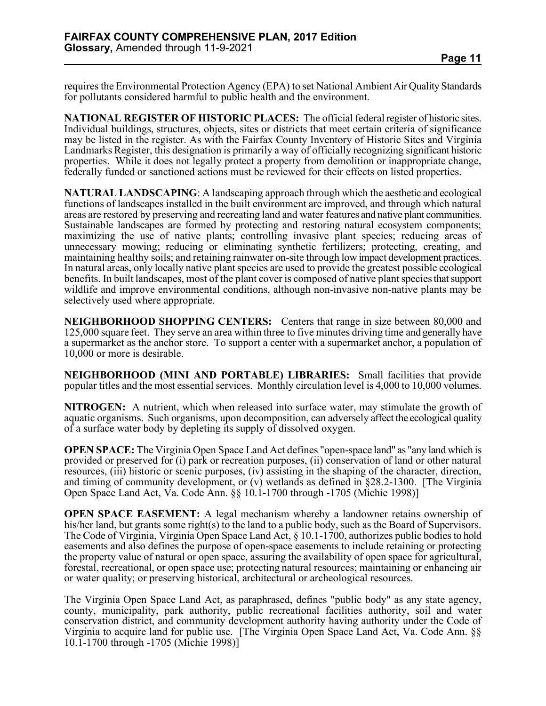requires the Environmental Protection Agency (EPA) to set National Ambient Air Quality Standards for pollutants considered harmful to public health and the environment.

**NATIONAL REGISTER OF HISTORIC PLACES:** The official federal register of historic sites. Individual buildings, structures, objects, sites or districts that meet certain criteria of significance may be listed in the register. As with the Fairfax County Inventory of Historic Sites and Virginia Landmarks Register, this designation is primarily a way of officially recognizing significant historic properties. While it does not legally protect a property from demolition or inappropriate change, federally funded or sanctioned actions must be reviewed for their effects on listed properties.

**NATURAL LANDSCAPING**: A landscaping approach through which the aesthetic and ecological functions of landscapes installed in the built environment are improved, and through which natural areas are restored by preserving and recreating land and water features and native plant communities. Sustainable landscapes are formed by protecting and restoring natural ecosystem components; maximizing the use of native plants; controlling invasive plant species; reducing areas of unnecessary mowing; reducing or eliminating synthetic fertilizers; protecting, creating, and maintaining healthy soils; and retaining rainwater on-site through low impact development practices. In natural areas, only locally native plant species are used to provide the greatest possible ecological benefits. In built landscapes, most of the plant cover is composed of native plant species that support wildlife and improve environmental conditions, although non-invasive non-native plants may be selectively used where appropriate.

**NEIGHBORHOOD SHOPPING CENTERS:** Centers that range in size between 80,000 and 125,000 square feet. They serve an area within three to five minutes driving time and generally have a supermarket as the anchor store. To support a center with a supermarket anchor, a population of 10,000 or more is desirable.

**NEIGHBORHOOD (MINI AND PORTABLE) LIBRARIES:** Small facilities that provide popular titles and the most essential services. Monthly circulation level is 4,000 to 10,000 volumes.

**NITROGEN:** A nutrient, which when released into surface water, may stimulate the growth of aquatic organisms. Such organisms, upon decomposition, can adversely affect the ecological quality of a surface water body by depleting its supply of dissolved oxygen.

**OPEN SPACE:** The Virginia Open Space Land Act defines "open-space land" as "any land which is provided or preserved for (i) park or recreation purposes, (ii) conservation of land or other natural resources, (iii) historic or scenic purposes, (iv) assisting in the shaping of the character, direction, and timing of community development, or (v) wetlands as defined in  $\S 28.2$ -1300. [The Virginia Open Space Land Act, Va. Code Ann. §§ 10.1-1700 through -1705 (Michie 1998)]

**OPEN SPACE EASEMENT:** A legal mechanism whereby a landowner retains ownership of his/her land, but grants some right(s) to the land to a public body, such as the Board of Supervisors. The Code of Virginia, Virginia Open Space Land Act, § 10.1-1700, authorizes public bodies to hold easements and also defines the purpose of open-space easements to include retaining or protecting the property value of natural or open space, assuring the availability of open space for agricultural, forestal, recreational, or open space use; protecting natural resources; maintaining or enhancing air or water quality; or preserving historical, architectural or archeological resources.

The Virginia Open Space Land Act, as paraphrased, defines "public body" as any state agency, county, municipality, park authority, public recreational facilities authority, soil and water conservation district, and community development authority having authority under the Code of Virginia to acquire land for public use. [The Virginia Open Space Land Act, Va. Code Ann. §§ 10.1-1700 through -1705 (Michie 1998)]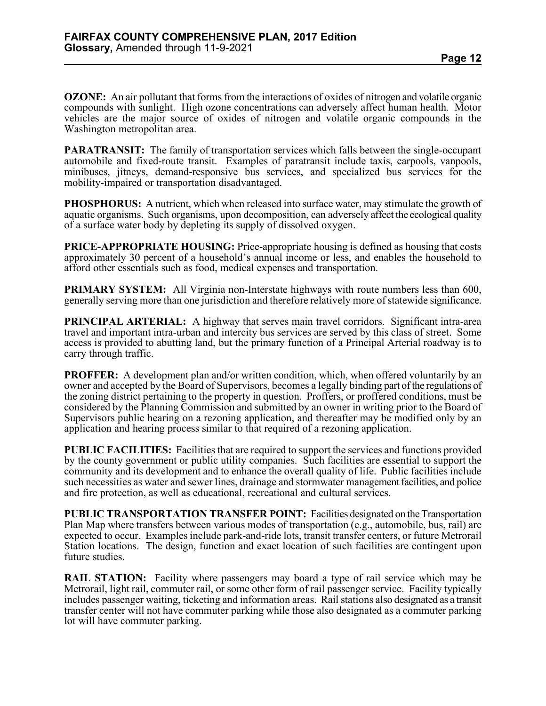**OZONE:** An air pollutant that forms from the interactions of oxides of nitrogen and volatile organic compounds with sunlight. High ozone concentrations can adversely affect human health. Motor vehicles are the major source of oxides of nitrogen and volatile organic compounds in the Washington metropolitan area.

**PARATRANSIT:** The family of transportation services which falls between the single-occupant automobile and fixed-route transit. Examples of paratransit include taxis, carpools, vanpools, minibuses, jitneys, demand-responsive bus services, and specialized bus services for the mobility-impaired or transportation disadvantaged.

**PHOSPHORUS:** A nutrient, which when released into surface water, may stimulate the growth of aquatic organisms. Such organisms, upon decomposition, can adversely affect the ecological quality of a surface water body by depleting its supply of dissolved oxygen.

**PRICE-APPROPRIATE HOUSING:** Price-appropriate housing is defined as housing that costs approximately 30 percent of a household's annual income or less, and enables the household to afford other essentials such as food, medical expenses and transportation.

**PRIMARY SYSTEM:** All Virginia non-Interstate highways with route numbers less than 600, generally serving more than one jurisdiction and therefore relatively more of statewide significance.

**PRINCIPAL ARTERIAL:** A highway that serves main travel corridors. Significant intra-area travel and important intra-urban and intercity bus services are served by this class of street. Some access is provided to abutting land, but the primary function of a Principal Arterial roadway is to carry through traffic.

**PROFFER:** A development plan and/or written condition, which, when offered voluntarily by an owner and accepted by the Board of Supervisors, becomes a legally binding part of the regulations of the zoning district pertaining to the property in question. Proffers, or proffered conditions, must be considered by the Planning Commission and submitted by an owner in writing prior to the Board of Supervisors public hearing on a rezoning application, and thereafter may be modified only by an application and hearing process similar to that required of a rezoning application.

**PUBLIC FACILITIES:** Facilities that are required to support the services and functions provided by the county government or public utility companies. Such facilities are essential to support the community and its development and to enhance the overall quality of life. Public facilities include such necessities as water and sewer lines, drainage and stormwater management facilities, and police and fire protection, as well as educational, recreational and cultural services.

**PUBLIC TRANSPORTATION TRANSFER POINT:** Facilities designated on the Transportation Plan Map where transfers between various modes of transportation (e.g., automobile, bus, rail) are expected to occur. Examples include park-and-ride lots, transit transfer centers, or future Metrorail Station locations. The design, function and exact location of such facilities are contingent upon future studies.

**RAIL STATION:** Facility where passengers may board a type of rail service which may be Metrorail, light rail, commuter rail, or some other form of rail passenger service. Facility typically includes passenger waiting, ticketing and information areas. Rail stations also designated as a transit transfer center will not have commuter parking while those also designated as a commuter parking lot will have commuter parking.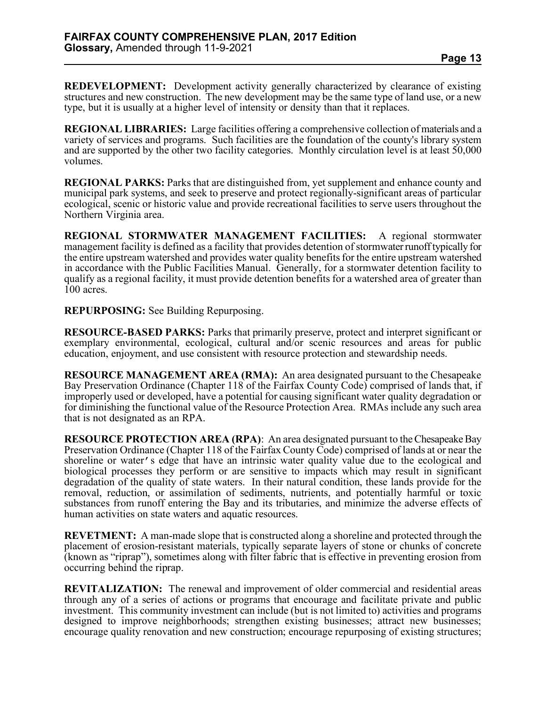**REDEVELOPMENT:** Development activity generally characterized by clearance of existing structures and new construction. The new development may be the same type of land use, or a new type, but it is usually at a higher level of intensity or density than that it replaces.

**REGIONAL LIBRARIES:** Large facilities offering a comprehensive collection of materials and a variety of services and programs. Such facilities are the foundation of the county's library system and are supported by the other two facility categories. Monthly circulation level is at least 50,000 volumes.

**REGIONAL PARKS:** Parks that are distinguished from, yet supplement and enhance county and municipal park systems, and seek to preserve and protect regionally-significant areas of particular ecological, scenic or historic value and provide recreational facilities to serve users throughout the Northern Virginia area.

**REGIONAL STORMWATER MANAGEMENT FACILITIES:** A regional stormwater management facility is defined as a facility that provides detention of stormwater runoff typically for the entire upstream watershed and provides water quality benefits for the entire upstream watershed in accordance with the Public Facilities Manual. Generally, for a stormwater detention facility to qualify as a regional facility, it must provide detention benefits for a watershed area of greater than 100 acres.

**REPURPOSING:** See Building Repurposing.

**RESOURCE-BASED PARKS:** Parks that primarily preserve, protect and interpret significant or exemplary environmental, ecological, cultural and/or scenic resources and areas for public education, enjoyment, and use consistent with resource protection and stewardship needs.

**RESOURCE MANAGEMENT AREA (RMA):** An area designated pursuant to the Chesapeake Bay Preservation Ordinance (Chapter 118 of the Fairfax County Code) comprised of lands that, if improperly used or developed, have a potential for causing significant water quality degradation or for diminishing the functional value of the Resource Protection Area. RMAs include any such area that is not designated as an RPA.

**RESOURCE PROTECTION AREA (RPA)**: An area designated pursuant to the Chesapeake Bay Preservation Ordinance (Chapter 118 of the Fairfax County Code) comprised of lands at or near the shoreline or water's edge that have an intrinsic water quality value due to the ecological and biological processes they perform or are sensitive to impacts which may result in significant degradation of the quality of state waters. In their natural condition, these lands provide for the removal, reduction, or assimilation of sediments, nutrients, and potentially harmful or toxic substances from runoff entering the Bay and its tributaries, and minimize the adverse effects of human activities on state waters and aquatic resources.

**REVETMENT:** A man-made slope that is constructed along a shoreline and protected through the placement of erosion-resistant materials, typically separate layers of stone or chunks of concrete (known as "riprap"), sometimes along with filter fabric that is effective in preventing erosion from occurring behind the riprap.

**REVITALIZATION:** The renewal and improvement of older commercial and residential areas through any of a series of actions or programs that encourage and facilitate private and public investment. This community investment can include (but is not limited to) activities and programs designed to improve neighborhoods; strengthen existing businesses; attract new businesses; encourage quality renovation and new construction; encourage repurposing of existing structures;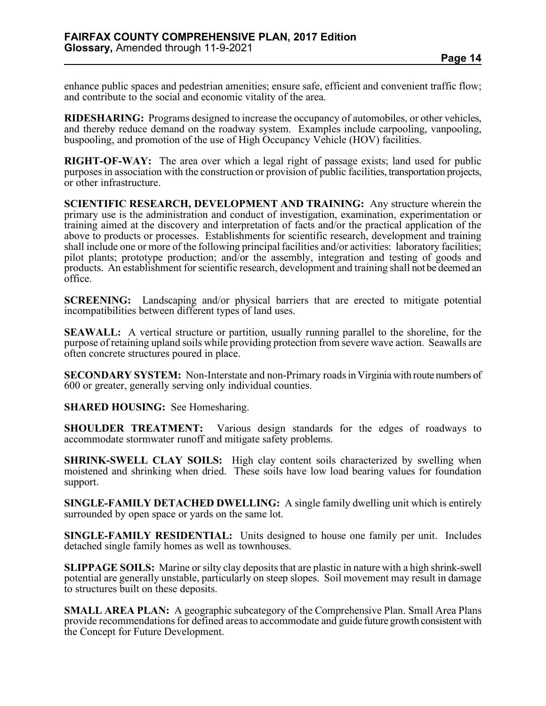enhance public spaces and pedestrian amenities; ensure safe, efficient and convenient traffic flow; and contribute to the social and economic vitality of the area.

**RIDESHARING:** Programs designed to increase the occupancy of automobiles, or other vehicles, and thereby reduce demand on the roadway system. Examples include carpooling, vanpooling, buspooling, and promotion of the use of High Occupancy Vehicle (HOV) facilities.

**RIGHT-OF-WAY:** The area over which a legal right of passage exists; land used for public purposes in association with the construction or provision of public facilities, transportation projects, or other infrastructure.

**SCIENTIFIC RESEARCH, DEVELOPMENT AND TRAINING:** Any structure wherein the primary use is the administration and conduct of investigation, examination, experimentation or training aimed at the discovery and interpretation of facts and/or the practical application of the above to products or processes. Establishments for scientific research, development and training shall include one or more of the following principal facilities and/or activities: laboratory facilities; pilot plants; prototype production; and/or the assembly, integration and testing of goods and products. An establishment for scientific research, development and training shall not be deemed an office.

**SCREENING:** Landscaping and/or physical barriers that are erected to mitigate potential incompatibilities between different types of land uses.

**SEAWALL:** A vertical structure or partition, usually running parallel to the shoreline, for the purpose of retaining upland soils while providing protection from severe wave action. Seawalls are often concrete structures poured in place.

**SECONDARY SYSTEM:** Non-Interstate and non-Primary roads in Virginia with route numbers of 600 or greater, generally serving only individual counties.

**SHARED HOUSING:** See Homesharing.

**SHOULDER TREATMENT:** Various design standards for the edges of roadways to accommodate stormwater runoff and mitigate safety problems.

**SHRINK-SWELL CLAY SOILS:** High clay content soils characterized by swelling when moistened and shrinking when dried. These soils have low load bearing values for foundation support.

**SINGLE-FAMILY DETACHED DWELLING:** A single family dwelling unit which is entirely surrounded by open space or yards on the same lot.

**SINGLE-FAMILY RESIDENTIAL:** Units designed to house one family per unit. Includes detached single family homes as well as townhouses.

**SLIPPAGE SOILS:** Marine or silty clay deposits that are plastic in nature with a high shrink-swell potential are generally unstable, particularly on steep slopes. Soil movement may result in damage to structures built on these deposits.

**SMALL AREA PLAN:** A geographic subcategory of the Comprehensive Plan. Small Area Plans provide recommendations for defined areas to accommodate and guide future growth consistent with the Concept for Future Development.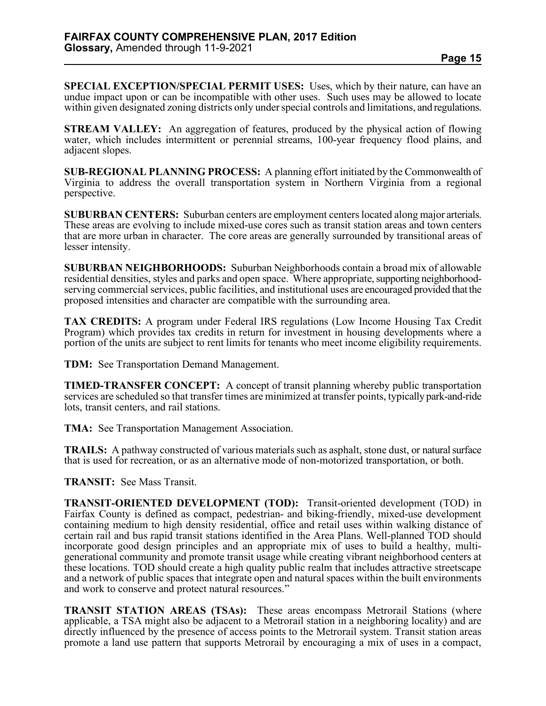**SPECIAL EXCEPTION/SPECIAL PERMIT USES:** Uses, which by their nature, can have an undue impact upon or can be incompatible with other uses. Such uses may be allowed to locate within given designated zoning districts only under special controls and limitations, and regulations.

**STREAM VALLEY:** An aggregation of features, produced by the physical action of flowing water, which includes intermittent or perennial streams, 100-year frequency flood plains, and adjacent slopes.

**SUB-REGIONAL PLANNING PROCESS:** A planning effort initiated by the Commonwealth of Virginia to address the overall transportation system in Northern Virginia from a regional perspective.

**SUBURBAN CENTERS:** Suburban centers are employment centers located along major arterials. These areas are evolving to include mixed-use cores such as transit station areas and town centers that are more urban in character. The core areas are generally surrounded by transitional areas of lesser intensity.

**SUBURBAN NEIGHBORHOODS:** Suburban Neighborhoods contain a broad mix of allowable residential densities, styles and parks and open space. Where appropriate, supporting neighborhoodserving commercial services, public facilities, and institutional uses are encouraged provided that the proposed intensities and character are compatible with the surrounding area.

**TAX CREDITS:** A program under Federal IRS regulations (Low Income Housing Tax Credit Program) which provides tax credits in return for investment in housing developments where a portion of the units are subject to rent limits for tenants who meet income eligibility requirements.

**TDM:** See Transportation Demand Management.

**TIMED-TRANSFER CONCEPT:** A concept of transit planning whereby public transportation services are scheduled so that transfer times are minimized at transfer points, typically park-and-ride lots, transit centers, and rail stations.

**TMA:** See Transportation Management Association.

**TRAILS:** A pathway constructed of various materials such as asphalt, stone dust, or natural surface that is used for recreation, or as an alternative mode of non-motorized transportation, or both.

**TRANSIT:** See Mass Transit.

**TRANSIT-ORIENTED DEVELOPMENT (TOD):** Transit-oriented development (TOD) in Fairfax County is defined as compact, pedestrian- and biking-friendly, mixed-use development containing medium to high density residential, office and retail uses within walking distance of certain rail and bus rapid transit stations identified in the Area Plans. Well-planned TOD should generational community and promote transit usage while creating vibrant neighborhood centers at these locations. TOD should create a high quality public realm that includes attractive streetscape and a network of public spaces that integrate open and natural spaces within the built environments and work to conserve and protect natural resources."

**TRANSIT STATION AREAS (TSAs):** These areas encompass Metrorail Stations (where applicable, a TSA might also be adjacent to a Metrorail station in a neighboring locality) and are directly influenced by the presence of access points to the Metrorail system. Transit station areas promote a land use pattern that supports Metrorail by encouraging a mix of uses in a compact,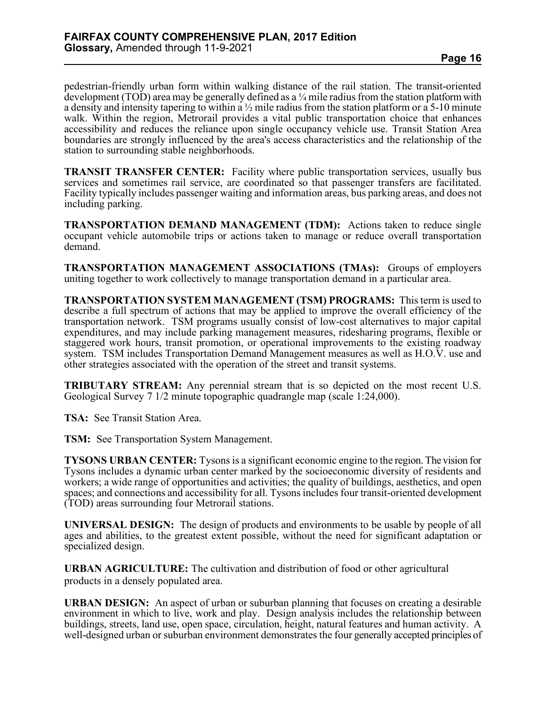pedestrian-friendly urban form within walking distance of the rail station. The transit-oriented development (TOD) area may be generally defined as a ¼ mile radius from the station platform with a density and intensity tapering to within a  $\frac{1}{2}$  mile radius from the station platform or a 5-10 minute walk. Within the region, Metrorail provides a vital public transportation choice that enhances accessibility and reduces the reliance upon single occupancy vehicle use. Transit Station Area boundaries are strongly influenced by the area's access characteristics and the relationship of the station to surrounding stable neighborhoods.

**TRANSIT TRANSFER CENTER:** Facility where public transportation services, usually bus services and sometimes rail service, are coordinated so that passenger transfers are facilitated. Facility typically includes passenger waiting and information areas, bus parking areas, and does not including parking.

**TRANSPORTATION DEMAND MANAGEMENT (TDM):** Actions taken to reduce single occupant vehicle automobile trips or actions taken to manage or reduce overall transportation demand.

**TRANSPORTATION MANAGEMENT ASSOCIATIONS (TMAs):** Groups of employers uniting together to work collectively to manage transportation demand in a particular area.

**TRANSPORTATION SYSTEM MANAGEMENT (TSM) PROGRAMS:** This term is used to describe a full spectrum of actions that may be applied to improve the overall efficiency of the transportation network. TSM programs usually consist of low-cost alternatives to major capital expenditures, and may include parking management measures, ridesharing programs, flexible or staggered work hours, transit promotion, or operational improvements to the existing roadway system. TSM includes Transportation Demand Management measures as well as H.O.V. use and other strategies associated with the operation of the street and transit systems.

**TRIBUTARY STREAM:** Any perennial stream that is so depicted on the most recent U.S. Geological Survey 7 1/2 minute topographic quadrangle map (scale 1:24,000).

**TSA:** See Transit Station Area.

**TSM:** See Transportation System Management.

**TYSONS URBAN CENTER:** Tysons is a significant economic engine to the region. The vision for Tysons includes a dynamic urban center marked by the socioeconomic diversity of residents and workers; a wide range of opportunities and activities; the quality of buildings, aesthetics, and open spaces; and connections and accessibility for all. Tysons includes four transit-oriented development (TOD) areas surrounding four Metrorail stations.

**UNIVERSAL DESIGN:** The design of products and environments to be usable by people of all ages and abilities, to the greatest extent possible, without the need for significant adaptation or specialized design.

**URBAN AGRICULTURE:** The cultivation and distribution of food or other agricultural products in a densely populated area.

**URBAN DESIGN:** An aspect of urban or suburban planning that focuses on creating a desirable environment in which to live, work and play. Design analysis includes the relationship between buildings, streets, land use, open space, circulation, height, natural features and human activity. A well-designed urban or suburban environment demonstrates the four generally accepted principles of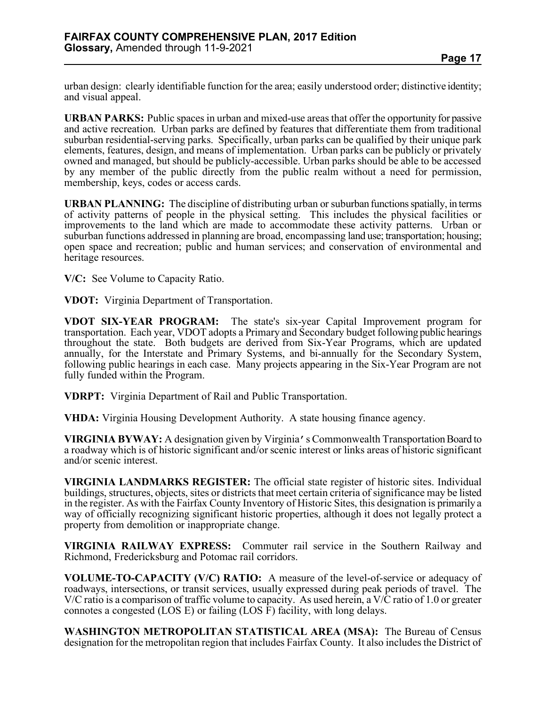urban design: clearly identifiable function for the area; easily understood order; distinctive identity; and visual appeal.

**URBAN PARKS:** Public spaces in urban and mixed-use areas that offer the opportunity for passive and active recreation. Urban parks are defined by features that differentiate them from traditional suburban residential-serving parks. Specifically, urban parks can be qualified by their unique park elements, features, design, and means of implementation. Urban parks can be publicly or privately owned and managed, but should be publicly-accessible. Urban parks should be able to be accessed by any member of the public directly from the public realm without a need for permission, membership, keys, codes or access cards.

**URBAN PLANNING:** The discipline of distributing urban or suburban functions spatially, in terms of activity patterns of people in the physical setting. This includes the physical facilities or improvements to the land which are made to accommodate these activity patterns. Urban or suburban functions addressed in planning are broad, encompassing land use; transportation; housing; open space and recreation; public and human services; and conservation of environmental and heritage resources.

**V/C:** See Volume to Capacity Ratio.

**VDOT:** Virginia Department of Transportation.

**VDOT SIX-YEAR PROGRAM:** The state's six-year Capital Improvement program for transportation. Each year, VDOT adopts a Primary and Secondary budget following public hearings throughout the state. Both budgets are derived from Six-Year Programs, which are updated annually, for the Interstate and Primary Systems, and bi-annually for the Secondary System, following public hearings in each case. Many projects appearing in the Six-Year Program are not fully funded within the Program.

**VDRPT:** Virginia Department of Rail and Public Transportation.

**VHDA:** Virginia Housing Development Authority. A state housing finance agency.

**VIRGINIA BYWAY:** A designation given by Virginia's Commonwealth Transportation Board to a roadway which is of historic significant and/or scenic interest or links areas of historic significant and/or scenic interest.

**VIRGINIA LANDMARKS REGISTER:** The official state register of historic sites. Individual buildings, structures, objects, sites or districts that meet certain criteria of significance may be listed in the register. As with the Fairfax County Inventory of Historic Sites, this designation is primarily a way of officially recognizing significant historic properties, although it does not legally protect a property from demolition or inappropriate change.

**VIRGINIA RAILWAY EXPRESS:** Commuter rail service in the Southern Railway and Richmond, Fredericksburg and Potomac rail corridors.

**VOLUME-TO-CAPACITY (V/C) RATIO:** A measure of the level-of-service or adequacy of roadways, intersections, or transit services, usually expressed during peak periods of travel. The V/C ratio is a comparison of traffic volume to capacity. As used herein, a V/C ratio of 1.0 or greater connotes a congested (LOS E) or failing (LOS F) facility, with long delays.

**WASHINGTON METROPOLITAN STATISTICAL AREA (MSA):** The Bureau of Census designation for the metropolitan region that includes Fairfax County. It also includes the District of